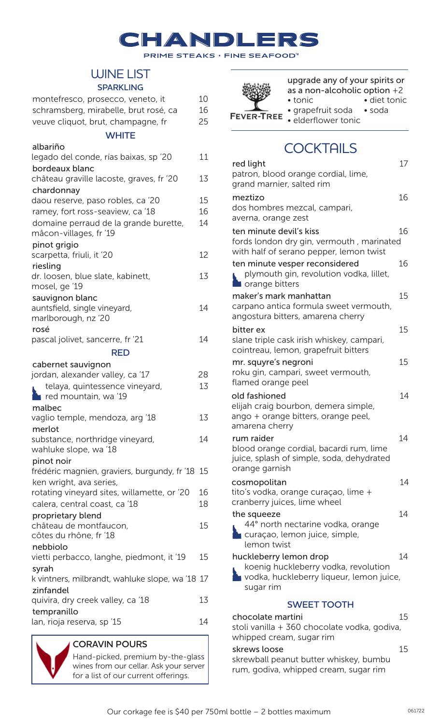#### CHANDLE  $\overline{\phantom{a}}$

**PRIME STEAKS • FINE SEAFOOD**™

## WINE LIST

#### **SPARKLING**

| montefresco, prosecco, veneto, it                                      | 10 |
|------------------------------------------------------------------------|----|
| schramsberg, mirabelle, brut rosé, ca                                  | 16 |
| veuve cliquot, brut, champagne, fr                                     | 25 |
| <b>WHITE</b>                                                           |    |
| albariño                                                               |    |
| legado del conde, rías baixas, sp'20                                   | 11 |
| bordeaux blanc                                                         |    |
| château graville lacoste, graves, fr '20                               | 13 |
| chardonnay                                                             | 15 |
| daou reserve, paso robles, ca '20                                      | 16 |
| ramey, fort ross-seaview, ca '18                                       | 14 |
| domaine perraud de la grande burette,<br>mâcon-villages, fr '19        |    |
| pinot grigio                                                           |    |
| scarpetta, friuli, it '20                                              | 12 |
| riesling                                                               |    |
| dr. loosen, blue slate, kabinett,                                      | 13 |
| mosel, ge '19                                                          |    |
| sauvignon blanc                                                        |    |
| auntsfield, single vineyard,                                           | 14 |
| marlborough, nz '20                                                    |    |
| rosé                                                                   |    |
| pascal jolivet, sancerre, fr '21                                       | 14 |
| RED                                                                    |    |
| cabernet sauvignon                                                     |    |
| jordan, alexander valley, ca '17                                       | 28 |
| telaya, quintessence vineyard,                                         | 13 |
| red mountain, wa '19                                                   |    |
| malbec                                                                 |    |
| vaglio temple, mendoza, arg '18                                        | 13 |
| merlot                                                                 |    |
| substance, northridge vineyard,                                        | 14 |
| wahluke slope, wa '18                                                  |    |
| pinot noir                                                             |    |
| frédéric magnien, graviers, burgundy, fr '18 15                        |    |
| ken wright, ava series,<br>rotating vineyard sites, willamette, or '20 | 16 |
| calera, central coast, ca '18                                          | 18 |
|                                                                        |    |
| proprietary blend<br>château de montfaucon,                            | 15 |
|                                                                        |    |
|                                                                        |    |
| côtes du rhône, fr '18                                                 |    |
| nebbiolo<br>vietti perbacco, langhe, piedmont, it '19                  | 15 |
| syrah                                                                  |    |
| k vintners, milbrandt, wahluke slope, wa '18 17                        |    |
| zinfandel                                                              |    |
| quivira, dry creek valley, ca '18                                      | 13 |
| tempranillo<br>lan, rioja reserva, sp '15                              | 14 |



|   | upgrade any of your spirits or |                |  |  |
|---|--------------------------------|----------------|--|--|
|   | as a non-alcoholic option $+2$ |                |  |  |
|   | $\bullet$ tonic                | • diet tonic   |  |  |
|   | • grapefruit soda              | $\bullet$ soda |  |  |
| Έ | · elderflower tonic            |                |  |  |

# **COCKTAILS**

| red light                                                                                                               | 17 |
|-------------------------------------------------------------------------------------------------------------------------|----|
| patron, blood orange cordial, lime,<br>grand marnier, salted rim                                                        |    |
| meztizo<br>dos hombres mezcal, campari,<br>averna, orange zest                                                          | 16 |
| ten minute devil's kiss<br>fords london dry gin, vermouth, marinated<br>with half of serano pepper, lemon twist         | 16 |
| ten minute vesper reconsidered<br>plymouth gin, revolution vodka, lillet,<br><b>Orange bitters</b>                      | 16 |
| maker's mark manhattan<br>carpano antica formula sweet vermouth,<br>angostura bitters, amarena cherry                   | 15 |
| bitter ex<br>slane triple cask irish whiskey, campari,<br>cointreau, lemon, grapefruit bitters                          | 15 |
| mr. squyre's negroni<br>roku gin, campari, sweet vermouth,<br>flamed orange peel                                        | 15 |
| old fashioned<br>elijah craig bourbon, demera simple,<br>ango + orange bitters, orange peel,<br>amarena cherry          | 14 |
| rum raider<br>blood orange cordial, bacardi rum, lime<br>juice, splash of simple, soda, dehydrated<br>orange garnish    | 14 |
| cosmopolitan<br>tito's vodka, orange curaçao, lime +<br>cranberry juices, lime wheel                                    | 14 |
| the squeeze<br>44° north nectarine vodka, orange<br>curação, lemon juice, simple,<br>lemon twist                        | 14 |
| huckleberry lemon drop<br>koenig huckleberry vodka, revolution<br>vodka, huckleberry liqueur, lemon juice,<br>sugar rim | 14 |
| <b>SWEET TOOTH</b>                                                                                                      |    |
| chocolate martini<br>stoli vanilla + 360 chocolate vodka, godiva,<br>whipped cream, sugar rim                           | 15 |
| skrews loose<br>skrewball peanut butter whiskey, bumbu                                                                  | 15 |

rum, godiva, whipped cream, sugar rim



Hand-picked, premium by-the-glass wines from our cellar. Ask your server for a list of our current offerings.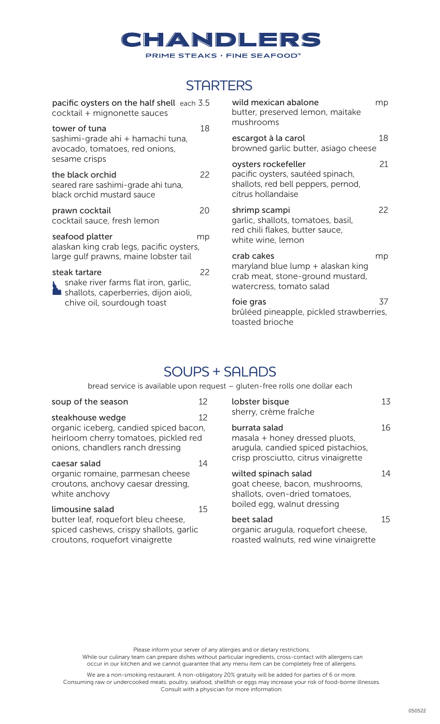

## **STARTERS**

| pacific oysters on the half shell each 3.5<br>cocktail + mignonette sauces                             |    | wild mexican abalone<br>butter, preserved lemon, maitake<br>mushrooms                                                 | mp |
|--------------------------------------------------------------------------------------------------------|----|-----------------------------------------------------------------------------------------------------------------------|----|
| tower of tuna<br>sashimi-grade ahi + hamachi tuna,<br>avocado, tomatoes, red onions,                   | 18 | escargot à la carol<br>browned garlic butter, asiago cheese                                                           | 18 |
| sesame crisps<br>the black orchid<br>seared rare sashimi-grade ahi tuna,<br>black orchid mustard sauce | 22 | oysters rockefeller<br>pacific oysters, sautéed spinach,<br>shallots, red bell peppers, pernod,<br>citrus hollandaise | 21 |
| prawn cocktail<br>cocktail sauce, fresh lemon                                                          | 20 | shrimp scampi<br>garlic, shallots, tomatoes, basil,                                                                   | 22 |
| seafood platter<br>alaskan king crab legs, pacific oysters,                                            | mp | red chili flakes, butter sauce,<br>white wine, lemon                                                                  |    |
| large gulf prawns, maine lobster tail                                                                  |    | crab cakes<br>maryland blue lump + alaskan king                                                                       | mp |
| steak tartare<br>snake river farms flat iron, garlic,<br>shallots, caperberries, dijon aioli,          | 22 | crab meat, stone-ground mustard,<br>watercress, tomato salad                                                          |    |
| chive oil, sourdough toast                                                                             |    | foie gras<br>brûléed pineapple, pickled strawberries,<br>toasted brioche                                              | 37 |

## SOUPS + SALADS

bread service is available upon request – gluten-free rolls one dollar each

| soup of the season                                                                                                  | 12 | lobster bisque                                                                                                                 | 13 |
|---------------------------------------------------------------------------------------------------------------------|----|--------------------------------------------------------------------------------------------------------------------------------|----|
| steakhouse wedge                                                                                                    | 12 | sherry, crème fraîche                                                                                                          |    |
| organic iceberg, candied spiced bacon,<br>heirloom cherry tomatoes, pickled red<br>onions, chandlers ranch dressing |    | burrata salad<br>masala + honey dressed pluots,<br>arugula, candied spiced pistachios,<br>crisp prosciutto, citrus vinaigrette | 16 |
| caesar salad                                                                                                        | 14 |                                                                                                                                |    |
| organic romaine, parmesan cheese<br>croutons, anchovy caesar dressing,<br>white anchovy                             |    | wilted spinach salad<br>goat cheese, bacon, mushrooms,<br>shallots, oven-dried tomatoes,                                       | 14 |
| limousine salad                                                                                                     | 15 | boiled egg, walnut dressing                                                                                                    |    |
| butter leaf, roquefort bleu cheese,<br>spiced cashews, crispy shallots, garlic<br>croutons, roquefort vinaigrette   |    | beet salad<br>organic arugula, roquefort cheese,<br>roasted walnuts, red wine vinaigrette                                      | 15 |

Please inform your server of any allergies and or dietary restrictions.

 While our culinary team can prepare dishes without particular ingredients, cross-contact with allergens can occur in our kitchen and we cannot guarantee that any menu item can be completely free of allergens.

We are a non-smoking restaurant. A non-obligatory 20% gratuity will be added for parties of 6 or more. Consuming raw or undercooked meats, poultry, seafood, shellfish or eggs may increase your risk of food-borne illnesses. Consult with a physician for more information.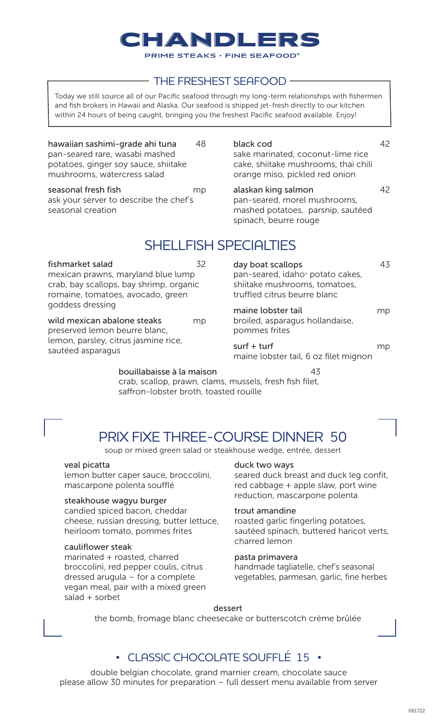# HANNDILE

**PRIME STEAKS · FINE SEAFOOD** 

### THE FRESHEST SEAFOOD

Today we still source all of our Pacific seafood through my long-term relationships with fishermen and fish brokers in Hawaii and Alaska. Our seafood is shipped jet-fresh directly to our kitchen within 24 hours of being caught, bringing you the freshest Pacific seafood available. Enjoy!

hawaiian sashimi-grade ahi tuna 48 pan-seared rare, wasabi mashed potatoes, ginger soy sauce, shiitake mushrooms, watercress salad

seasonal fresh fish mp ask your server to describe the chef's seasonal creation

fishmarket salad 32 mexican prawns, maryland blue lump crab, bay scallops, bay shrimp, organic romaine, tomatoes, avocado, green

wild mexican abalone steaks mp

preserved lemon beurre blanc, lemon, parsley, citrus jasmine rice, black cod 42 sake marinated, coconut-lime rice cake, shiitake mushrooms, thai chili orange miso, pickled red onion

alaskan king salmon alaskan 42 pan-seared, morel mushrooms, mashed potatoes, parsnip, sautéed spinach, beurre rouge

# SHELLFISH SPECIALTIES

| day boat scallops<br>pan-seared, idaho <sup>®</sup> potato cakes,<br>shiitake mushrooms, tomatoes,<br>truffled citrus beurre blanc |     |
|------------------------------------------------------------------------------------------------------------------------------------|-----|
| maine lobster tail<br>broiled, asparagus hollandaise,<br>pommes frites                                                             | mp  |
| $surf + turf$<br>maine lobster tail, 6 oz filet mignon                                                                             | THU |

bouillabaisse à la maison 43

crab, scallop, prawn, clams, mussels, fresh fish filet, saffron-lobster broth, toasted rouille

# PRIX FIXE THREE-COURSE DINNER 50

soup or mixed green salad or steakhouse wedge, entrée, dessert

#### veal picatta

goddess dressing

sautéed asparagus

lemon butter caper sauce, broccolini, mascarpone polenta soufflé

#### steakhouse wagyu burger

candied spiced bacon, cheddar cheese, russian dressing, butter lettuce, heirloom tomato, pommes frites

#### cauliflower steak

marinated + roasted, charred broccolini, red pepper coulis, citrus dressed arugula – for a complete vegan meal, pair with a mixed green salad + sorbet

duck two ways

seared duck breast and duck leg confit, red cabbage + apple slaw, port wine reduction, mascarpone polenta

#### trout amandine

roasted garlic fingerling potatoes, sautéed spinach, buttered haricot verts, charred lemon

#### pasta primavera

handmade tagliatelle, chef's seasonal vegetables, parmesan, garlic, fine herbes

#### dessert

the bomb, fromage blanc cheesecake or butterscotch crème brûlée

### • CLASSIC CHOCOLATE SOUFFLÉ 15 •

double belgian chocolate, grand marnier cream, chocolate sauce please allow 30 minutes for preparation – full dessert menu available from server